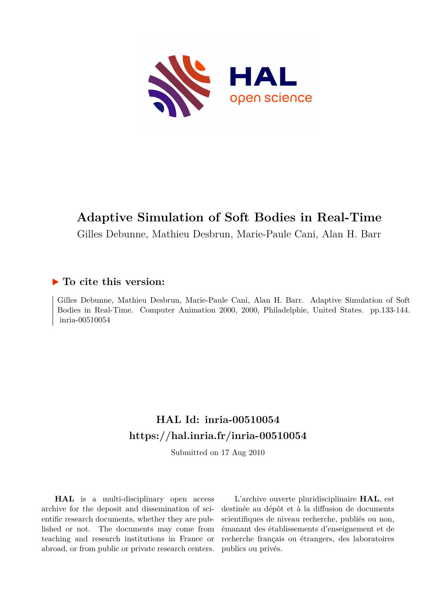

# **Adaptive Simulation of Soft Bodies in Real-Time**

Gilles Debunne, Mathieu Desbrun, Marie-Paule Cani, Alan H. Barr

## **To cite this version:**

Gilles Debunne, Mathieu Desbrun, Marie-Paule Cani, Alan H. Barr. Adaptive Simulation of Soft Bodies in Real-Time. Computer Animation 2000, 2000, Philadelphie, United States. pp.133-144. inria-00510054

# **HAL Id: inria-00510054 <https://hal.inria.fr/inria-00510054>**

Submitted on 17 Aug 2010

**HAL** is a multi-disciplinary open access archive for the deposit and dissemination of scientific research documents, whether they are published or not. The documents may come from teaching and research institutions in France or abroad, or from public or private research centers.

L'archive ouverte pluridisciplinaire **HAL**, est destinée au dépôt et à la diffusion de documents scientifiques de niveau recherche, publiés ou non, émanant des établissements d'enseignement et de recherche français ou étrangers, des laboratoires publics ou privés.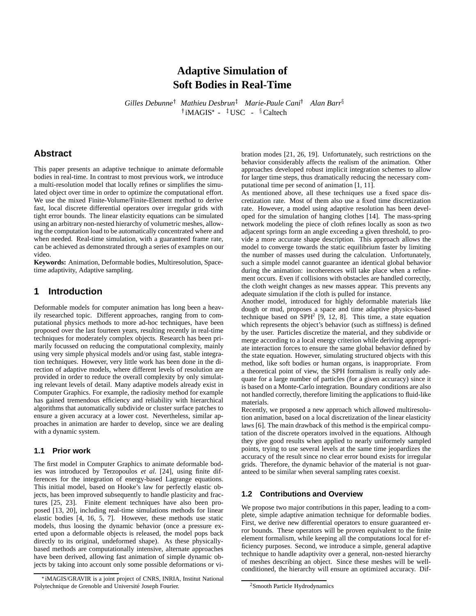## **Adaptive Simulation of Soft Bodies in Real-Time**

Gilles Debunne<sup>†</sup> Mathieu Desbrun<sup>‡</sup> Marie-Paule Cani<sup>†</sup> Alan Barr<sup>§</sup> <sup>†</sup> iMAGIS<sup>\*</sup> - <sup>‡</sup>USC - <sup>§</sup>Caltech

## **Abstract**

This paper presents an adaptive technique to animate deformable bodies in real-time. In contrast to most previous work, we introduce a multi-resolution model that locally refines or simplifies the simulated object over time in order to optimize the computational effort. We use the mixed Finite-Volume/Finite-Element method to derive fast, local discrete differential operators over irregular grids with tight error bounds. The linear elasticity equations can be simulated using an arbitrary non-nested hierarchy of volumetric meshes, allowing the computation load to be automatically concentrated where and when needed. Real-time simulation, with a guaranteed frame rate, can be achieved as demonstrated through a series of examples on our video.

**Keywords:** Animation, Deformable bodies, Multiresolution, Spacetime adaptivity, Adaptive sampling.

## **1 Introduction**

Deformable models for computer animation has long been a heavily researched topic. Different approaches, ranging from to computational physics methods to more ad-hoc techniques, have been proposed over the last fourteen years, resulting recently in real-time techniques for moderately complex objects. Research has been primarily focussed on reducing the computational complexity, mainly using very simple physical models and/or using fast, stable integration techniques. However, very little work has been done in the direction of adaptive models, where different levels of resolution are provided in order to reduce the overall complexity by only simulating relevant levels of detail. Many adaptive models already exist in Computer Graphics. For example, the radiosity method for example has gained tremendous efficiency and reliability with hierarchical algorithms that automatically subdivide or cluster surface patches to ensure a given accuracy at a lower cost. Nevertheless, similar approaches in animation are harder to develop, since we are dealing with a dynamic system.

#### **1.1 Prior work**

The first model in Computer Graphics to animate deformable bodies was introduced by Terzopoulos *et al.* [24], using finite differences for the integration of energy-based Lagrange equations. This initial model, based on Hooke's law for perfectly elastic objects, has been improved subsequently to handle plasticity and fractures [25, 23]. Finite element techniques have also been proposed [13, 20], including real-time simulations methods for linear elastic bodies [4, 16, 5, 7]. However, these methods use static models, thus loosing the dynamic behavior (once a pressure exerted upon a deformable objects is released, the model pops back directly to its original, undeformed shape). As these physicallybased methods are computationally intensive, alternate approaches have been derived, allowing fast animation of simple dynamic objects by taking into account only some possible deformations or vibration modes [21, 26, 19]. Unfortunately, such restrictions on the behavior considerably affects the realism of the animation. Other approaches developed robust implicit integration schemes to allow for larger time steps, thus dramatically reducing the necessary computational time per second of animation [1, 11].

As mentioned above, all these techniques use a fixed space discretization rate. Most of them also use a fixed time discretization rate. However, a model using adaptive resolution has been developed for the simulation of hanging clothes [14]. The mass-spring network modeling the piece of cloth refines locally as soon as two adjacent springs form an angle exceeding a given threshold, to provide a more accurate shape description. This approach allows the model to converge towards the static equilibrium faster by limiting the number of masses used during the calculation. Unfortunately, such a simple model cannot guarantee an identical global behavior during the animation: incoherences will take place when a refinement occurs. Even if collisions with obstacles are handled correctly, the cloth weight changes as new masses appear. This prevents any adequate simulation if the cloth is pulled for instance.

Another model, introduced for highly deformable materials like dough or mud, proposes a space and time adaptive physics-based technique based on  $SPH<sup>2</sup>$  [9, 12, 8]. This time, a state equation which represents the object's behavior (such as stiffness) is defined by the user. Particles discretize the material, and they subdivide or merge according to a local energy criterion while deriving appropriate interaction forces to ensure the same global behavior defined by the state equation. However, simulating structured objects with this method, like soft bodies or human organs, is inappropriate. From a theoretical point of view, the SPH formalism is really only adequate for a large number of particles (for a given accuracy) since it is based on a Monte-Carlo integration. Boundary conditions are also not handled correctly, therefore limiting the applications to fluid-like materials.

Recently, we proposed a new approach which allowed multiresolution animation, based on a local discretization of the linear elasticity laws [6]. The main drawback of this method is the empirical computation of the discrete operators involved in the equations. Although they give good results when applied to nearly uniformely sampled points, trying to use several levels at the same time jeopardizes the accuracy of the result since no clear error bound exists for irregular grids. Therefore, the dynamic behavior of the material is not guaranteed to be similar when several sampling rates coexist.

#### **1.2 Contributions and Overview**

We propose two major contributions in this paper, leading to a complete, simple adaptive animation technique for deformable bodies. First, we derive new differential operators to ensure guaranteed error bounds. These operators will be proven equivalent to the finite element formalism, while keeping all the computations local for efficiency purposes. Second, we introduce a simple, general adaptive technique to handle adaptivity over a general, non-nested hierarchy of meshes describing an object. Since these meshes will be wellconditioned, the hierarchy will ensure an optimized accuracy. Dif-

iMAGIS/GRAVIR is a joint project of CNRS, INRIA, Institut National Polytechnique de Grenoble and Université Joseph Fourier.

<sup>2</sup>Smooth Particle Hydrodynamics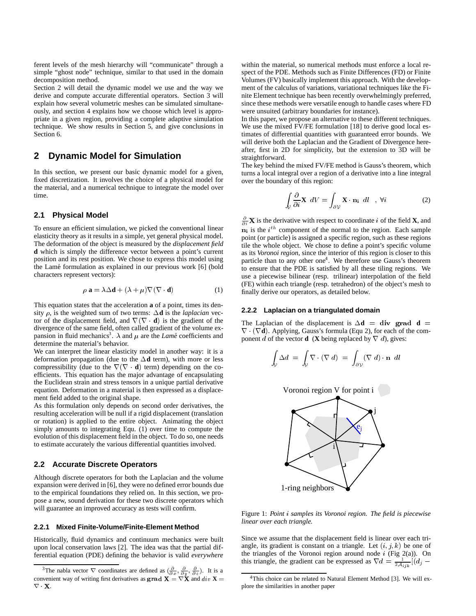ferent levels of the mesh hierarchy will "communicate" through a simple "ghost node" technique, similar to that used in the domain decomposition method.

Section 2 will detail the dynamic model we use and the way we derive and compute accurate differential operators. Section 3 will explain how several volumetric meshes can be simulated simultaneously, and section 4 explains how we choose which level is appropriate in a given region, providing a complete adaptive simulation technique. We show results in Section 5, and give conclusions in Section 6.

## **2 Dynamic Model for Simulation**

In this section, we present our basic dynamic model for a given, fixed discretization. It involves the choice of a physical model for the material, and a numerical technique to integrate the model over time.

#### **2.1 Physical Model**

To ensure an efficient simulation, we picked the conventional linear elasticity theory as it results in a simple, yet general physical model. The deformation of the object is measured by the *displacement field* **d** which is simply the difference vector between a point's current position and its rest position. We chose to express this model using the Lam´e formulation as explained in our previous work [6] (bold characters represent vectors):

$$
\rho \mathbf{a} = \lambda \Delta \mathbf{d} + (\lambda + \mu) \nabla (\nabla \cdot \mathbf{d}) \tag{1}
$$

This equation states that the acceleration **a** of a point, times its density  $\rho$ , is the weighted sum of two terms:  $\Delta \mathbf{d}$  is the *laplacian* vector of the displacement field, and  $\nabla(\nabla \cdot \mathbf{d})$  is the gradient of the divergence of the same field, often called gradient of the volume expansion in fluid mechanics<sup>3</sup>.  $\lambda$  and  $\mu$  are the *Lamé* coefficients and determine the material's behavior.

We can interpret the linear elasticity model in another way: it is a deformation propagation (due to the  $\Delta$ **d** term), with more or less compressibility (due to the  $\nabla(\nabla \cdot \mathbf{d})$  term) depending on the coefficients. This equation has the major advantage of encapsulating the Euclidean strain and stress tensors in a unique partial derivative equation. Deformation in a material is then expressed as a displacement field added to the original shape.

As this formulation only depends on second order derivatives, the resulting acceleration will be null if a rigid displacement (translation or rotation) is applied to the entire object. Animating the object simply amounts to integrating Equ. (1) over time to compute the evolution of this displacement field in the object. To do so, one needs to estimate accurately the various differential quantities involved.

### **2.2 Accurate Discrete Operators**

Although discrete operators for both the Laplacian and the volume expansion were derived in [6], they were no defined error bounds due to the empirical foundations they relied on. In this section, we propose a new, sound derivation for these two discrete operators which will guarantee an improved accuracy as tests will confirm.

#### **2.2.1 Mixed Finite-Volume/Finite-Element Method**

Historically, fluid dynamics and continuum mechanics were built upon local conservation laws [2]. The idea was that the partial differential equation (PDE) defining the behavior is valid *everywhere*

within the material, so numerical methods must enforce a local respect of the PDE. Methods such as Finite Differences (FD) or Finite Volumes (FV) basically implement this approach. With the development of the calculus of variations, variational techniques like the Finite Element technique has been recently overwhelmingly preferred, since these methods were versatile enough to handle cases where FD were unsuited (arbitrary boundaries for instance).

In this paper, we propose an alternative to these different techniques. We use the mixed FV/FE formulation [18] to derive good local estimates of differential quantities with guaranteed error bounds. We will derive both the Laplacian and the Gradient of Divergence hereafter, first in 2D for simplicity, but the extension to 3D will be straightforward.

The key behind the mixed FV/FE method is Gauss's theorem, which turns a local integral over a region of a derivative into a line integral over the boundary of this region:

$$
\int_{V} \frac{\partial}{\partial i} \mathbf{X} \ dV = \int_{\partial V} \mathbf{X} \cdot \mathbf{n}_{i} \ dI \quad , \ \forall i
$$
 (2)

 $\frac{\partial}{\partial i}$ **X** is the derivative with respect to coordinate i of the field **X**, and  $n_i$  is the  $i^{th}$  component of the normal to the region. Each sample point (or particle) is assigned a specific region, such as these regions tile the whole object. We chose to define a point's specific volume as its *Voronoi region*, since the interior of this region is closer to this particle than to any other one<sup>4</sup>. We therefore use Gauss's theorem to ensure that the PDE is satisfied by all these tiling regions. We use a piecewise bilinear (resp. trilinear) interpolation of the field (FE) within each triangle (resp. tetrahedron) of the object's mesh to finally derive our operators, as detailed below.

#### **2.2.2 Laplacian on a triangulated domain**

The Laplacian of the displacement is  $\Delta \mathbf{d} = \mathbf{div}$  grad  $\mathbf{d} =$  $\nabla \cdot (\nabla \mathbf{d})$ . Applying, Gauss's formula (Equ 2), for each of the component d of the vector **d** (**X** being replaced by  $\nabla$  d), gives:

$$
\int_{V} \Delta d = \int_{V} \nabla \cdot (\nabla d) = \int_{\partial V} (\nabla d) \cdot \mathbf{n} dl
$$



Figure 1: *Point* <sup>i</sup> *samples its Voronoi region. The field is piecewise linear over each triangle.*

Since we assume that the displacement field is linear over each triangle, its gradient is constant on a triangle. Let  $(i, j, k)$  be one of the triangles of the Voronoi region around node  $i$  (Fig 2(a)). On this triangle, the gradient can be expressed as  $\nabla d = \frac{1}{2\mathcal{A}_{ijk}}[(d_j -$ 

<sup>&</sup>lt;sup>3</sup>The nabla vector  $\nabla$  coordinates are defined as  $(\frac{\partial}{\partial x}, \frac{\partial}{\partial y}, \frac{\partial}{\partial z})$ . It is a convenient way of writing first derivatives as  $grad X = \nabla X$  and  $div X =$ <sup>4</sup>Thi  $\nabla \cdot \mathbf{X}$ .

<sup>&</sup>lt;sup>4</sup>This choice can be related to Natural Element Method [3]. We will explore the similarities in another paper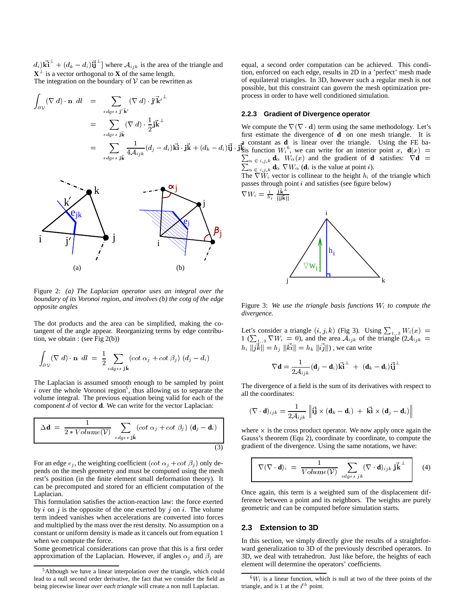$d_i$ ) $\mathbf{k}$ **i**  $+$   $(d_k - d_i)$ **ij**  $)$  where  $\mathcal{A}_{ijk}$  is the area of the triangle and  $X^{\perp}$  is a vector orthogonal to **X** of the same length. The integration on the boundary of  $V$  can be rewritten as

$$
\int_{\partial \mathcal{V}} (\nabla \ d) \cdot \mathbf{n} \ d l = \sum_{edges \ j' \bar{\mathbf{k}}'} (\nabla \ d) \cdot \mathbf{j'} \bar{\mathbf{k}}^{i} \n= \sum_{edges \ j \bar{\mathbf{k}}} (\nabla \ d) \cdot \frac{1}{2} \mathbf{j} \bar{\mathbf{k}}^{\perp} \n= \sum_{edges \ j \bar{\mathbf{k}}} \frac{1}{4 \mathcal{A}_{ijk}} (d_j - d_i) \vec{\mathbf{k}} \cdot \mathbf{j} \bar{\mathbf{k}} + (d_k - d_i) \mathbf{i} \mathbf{j}
$$



Figure 2: *(a) The Laplacian operator uses an integral over the boundary of its Voronoi region, and involves (b) the cotg of the edge opposite angles*

The dot products and the area can be simplified, making the cotangent of the angle appear. Reorganizing terms by edge contribution, we obtain : (see Fig 2(b))

$$
\int_{\partial \mathcal{V}} (\nabla \, d) \cdot \mathbf{n} \, dl = \frac{1}{2} \sum_{\text{edges } j\vec{k}} (\cot \alpha_j + \cot \beta_j) \left( d_j - d_i \right)
$$

The Laplacian is assumed smooth enough to be sampled by point  $i$  over the whole Voronoi region<sup>5</sup>, thus allowing us to separate the volume integral. The previous equation being valid for each of the component <sup>d</sup> of vector **d**. We can write for the vector Laplacian:

$$
\Delta \mathbf{d} = \frac{1}{2 * Volume(V)} \sum_{edges \; \mathbf{j}\mathbf{k}} (cot \; \alpha_j + cot \; \beta_j) \; (\mathbf{d}_j - \mathbf{d}_i) \quad \text{and} \quad \text{G}_i
$$

For an edge  $e_i$ , the weighting coefficient  $(cot \alpha_i + cot \beta_i)$  only depends on the mesh geometry and must be computed using the mesh rest's position (in the finite element small deformation theory). It can be precomputed and stored for an efficient computation of the Laplacian.

This formulation satisfies the action-reaction law: the force exerted by i on j is the opposite of the one exerted by j on i. The volume term indeed vanishes when accelerations are converted into forces and multiplied by the mass over the rest density. No assumption on a constant or uniform density is made as it cancels out from equation 1 when we compute the force.

Some geometrical considerations can prove that this is a first order approximation of the Laplacian. However, if angles  $\alpha_j$  and  $\beta_j$  are

equal, a second order computation can be achieved. This condition, enforced on each edge, results in 2D in a 'perfect' mesh made of equilateral triangles. In 3D, however such a regular mesh is not possible, but this constraint can govern the mesh optimization preprocess in order to have well conditioned simulation.

#### **2.2.3 Gradient of Divergence operator**

 $(d_i)$ **i**)  $\mathbf{j}$   $\mathbf{k}$  is function  $W_i^6$ , we can write for an interior point x,  $\mathbf{d}(x) =$ We compute the  $\nabla(\nabla \cdot \mathbf{d})$  term using the same methodology. Let's first estimate the divergence of **d** on one mesh triangle. It is a constant as **d** is linear over the triangle. Using the FE ba-P  $\sum_{\alpha \in i,j,k} d_{\alpha} W_{\alpha}(x)$  and the gradient of **d** satisfies:  $\nabla \mathbf{d} =$  $\alpha \in i,j,k$  **d** $\alpha$   $\nabla W_{\alpha}$  (**d**<sub>i</sub> is the value at point *i*).

> The  $\nabla W_i$  vector is collinear to the height  $h_i$  of the triangle which passes through point  $i$  and satisfies (see figure below)

$$
\nabla W_i = \tfrac{1}{h_i} \, \tfrac{\mathbf{j} \mathbf{\tilde{k}}^\perp}{||\mathbf{j} \mathbf{\tilde{k}}||}
$$



Figure 3: *We use the triangle basis functions* Wi *to compute the divergence.*

Let's consider a triangle  $(i, j, k)$  (Fig 3). Using  $\sum_{1 \ldots 3} W_i(x) = 1$  ( $\sum_{1 \ldots 3} \nabla W_i = 0$ ), and the area  $A_{ijk}$  of the triangle  $(2A_{ijk})$  $h_i$   $||jk|| = h_j$   $||ki|| = h_k$   $||ij||$ ), we can write

$$
\nabla \mathbf{d} = \frac{1}{2\mathcal{A}_{ijk}} (\mathbf{d}_j - \mathbf{d}_i) \mathbf{\vec{K}} \mathbf{\vec{i}}^{\perp} + (\mathbf{d}_k - \mathbf{d}_i) \mathbf{\vec{i}} \mathbf{\vec{j}}^{\perp}
$$

The divergence of a field is the sum of its derivatives with respect to all the coordinates:

$$
(\nabla \cdot \mathbf{d})_{ijk} = \frac{1}{2\mathcal{A}_{ijk}} \left\| \mathbf{i}\mathbf{j} \times (\mathbf{d}_k - \mathbf{d}_i) + \mathbf{k}\mathbf{i} \times (\mathbf{d}_j - \mathbf{d}_i) \right\|
$$

where  $\times$  is the cross product operator. We now apply once again the Gauss's theorem (Equ 2), coordinate by coordinate, to compute the gradient of the divergence. Using the same notations, we have:

$$
\nabla (\nabla \cdot \mathbf{d})_i = \frac{1}{Volume(\mathcal{V})} \sum_{edges \; jk} (\nabla \cdot \mathbf{d})_{ijk} \; \mathbf{j} \mathbf{k}^{\perp}
$$
 (4)

Once again, this term is a weighted sum of the displacement difference between a point and its neighbors. The weights are purely geometric and can be computed before simulation starts.

#### **2.3 Extension to 3D**

In this section, we simply directly give the results of a straightforward generalization to 3D of the previously described operators. In 3D, we deal with tetrahedron. Just like before, the heights of each element will determine the operators' coefficients.

<sup>&</sup>lt;sup>5</sup>Although we have a linear interpolation over the triangle, which could lead to a null second order derivative, the fact that we consider the field as being piecewise linear *over each triangle* will create a non null Laplacian.

 ${}^6W_i$  is a linear function, which is null at two of the three points of the triangle, and is 1 at the  $i^{th}$  point.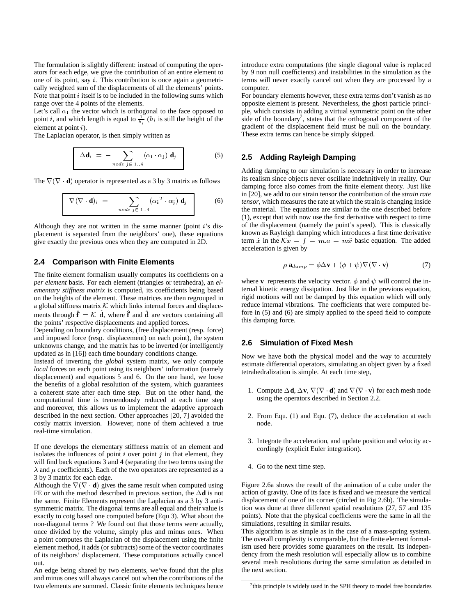The formulation is slightly different: instead of computing the operators for each edge, we give the contribution of an entire element to one of its point, say <sup>i</sup>. This contribution is once again a geometrically weighted sum of the displacements of all the elements' points. Note that point  $i$  itself is to be included in the following sums which range over the 4 points of the elements.

Let's call  $\alpha_i$  the vector which is orthogonal to the face opposed to point *i*, and which length is equal to  $\frac{1}{h_i}$  ( $h_i$  is still the height of the element at point <sup>i</sup>).

The Laplacian operator, is then simply written as

$$
\Delta \mathbf{d}_i = - \sum_{node \ j \in 1..4} (\alpha_{\mathbf{i}} \cdot \alpha_{\mathbf{j}}) \mathbf{d}_j \tag{5}
$$

The  $\nabla(\nabla \cdot \mathbf{d})$  operator is represented as a 3 by 3 matrix as follows

$$
\nabla (\nabla \cdot \mathbf{d})_i = - \sum_{node \ j \in 1..4} (\alpha_i^T \cdot \alpha_j) \mathbf{d}_j \qquad (6)
$$

Although they are not written in the same manner (point  $i$ 's displacement is separated from the neighbors' one), these equations give exactly the previous ones when they are computed in 2D.

#### **2.4 Comparison with Finite Elements**

The finite element formalism usually computes its coefficients on a *per element* basis. For each element (triangles or tetrahedra), an *elementary stiffness matrix* is computed, its coefficients being based on the heights of the element. These matrices are then regrouped in a global stiffness matrix  $K$  which links internal forces and displacements through  $\mathbf{f} = \mathcal{K}$  d, where  $\mathbf{f}$  and d $\mathbf{d}$  are vectors containing all the points' respective displacements and applied forces.

Depending on boundary conditions, (free displacement (resp. force) and imposed force (resp. displacement) on each point), the system unknowns change, and the matrix has to be inverted (or intelligently updated as in [16]) each time boundary conditions change.

Instead of inverting the *global* system matrix, we only compute *local* forces on each point using its neighbors' information (namely displacement) and equations 5 and 6. On the one hand, we loose the benefits of a global resolution of the system, which guarantees a coherent state after each time step. But on the other hand, the computational time is tremendously reduced at each time step and moreover, this allows us to implement the adaptive approach described in the next section. Other approaches [20, 7] avoided the costly matrix inversion. However, none of them achieved a true real-time simulation.

If one develops the elementary stiffness matrix of an element and isolates the influences of point  $i$  over point  $j$  in that element, they will find back equations  $3$  and  $4$  (separating the two terms using the  $\lambda$  and  $\mu$  coefficients). Each of the two operators are represented as a 3 by 3 matrix for each edge.

Although the  $\nabla(\nabla \cdot \mathbf{d})$  gives the same result when computed using FE or with the method described in previous section, the  $\Delta \mathbf{d}$  is not the same. Finite Elements represent the Laplacian as a 3 by 3 antisymmetric matrix. The diagonal terms are all equal and their value is exactly to cotg based one computed before (Equ 3). What about the non-diagonal terms ? We found out that those terms were actually, once divided by the volume, simply plus and minus ones. When a point computes the Laplacian of the displacement using the finite element method, it adds (or subtracts) some of the vector coordinates of its neighbors' displacement. These computations actually cancel out.

An edge being shared by two elements, we've found that the plus and minus ones will always cancel out when the contributions of the two elements are summed. Classic finite elements techniques hence introduce extra computations (the single diagonal value is replaced by 9 non null coefficients) and instabilities in the simulation as the terms will never exactly cancel out when they are processed by a computer.

For boundary elements however, these extra terms don't vanish as no opposite element is present. Nevertheless, the ghost particle principle, which consists in adding a virtual symmetric point on the other side of the boundary<sup>7</sup>, states that the orthogonal component of the gradient of the displacement field must be null on the boundary. These extra terms can hence be simply skipped.

#### **2.5 Adding Rayleigh Damping**

Adding damping to our simulation is necessary in order to increase its realism since objects never oscillate indefinitively in reality. Our damping force also comes from the finite element theory. Just like in [20], we add to our strain tensor the contribution of the *strain rate tensor*, which measures the rate at which the strain is changing inside the material. The equations are similar to the one described before (1), except that with now use the first derivative with respect to time of the displacement (namely the point's speed). This is classically known as Rayleigh damping which introduces a first time derivative term x in the  $\mathcal{K}x = f = m.a = m\ddot{x}$  basic equation. The added acceleration is given by

$$
\rho \mathbf{a}_{damp} = \phi \Delta \mathbf{v} + (\phi + \psi) \nabla (\nabla \cdot \mathbf{v}) \tag{7}
$$

where **v** represents the velocity vector.  $\phi$  and  $\psi$  will control the internal kinetic energy dissipation. Just like in the previous equation, rigid motions will not be damped by this equation which will only reduce internal vibrations. The coefficients that were computed before in (5) and (6) are simply applied to the speed field to compute this damping force.

#### **2.6 Simulation of Fixed Mesh**

Now we have both the physical model and the way to accurately estimate differential operators, simulating an object given by a fixed tetrahedralization is simple. At each time step,

- 1. Compute  $\Delta \mathbf{d}$ ,  $\Delta \mathbf{v}$ ,  $\nabla (\nabla \cdot \mathbf{d})$  and  $\nabla (\nabla \cdot \mathbf{v})$  for each mesh node using the operators described in Section 2.2.
- 2. From Equ. (1) and Equ. (7), deduce the acceleration at each node.
- 3. Integrate the acceleration, and update position and velocity accordingly (explicit Euler integration).
- 4. Go to the next time step.

Figure 2.6a shows the result of the animation of a cube under the action of gravity. One of its face is fixed and we measure the vertical displacement of one of its corner (circled in Fig 2.6b). The simulation was done at three different spatial resolutions (27, 57 and 135 points). Note that the physical coefficients were the same in all the simulations, resulting in similar results.

This algorithm is as simple as in the case of a mass-spring system. The overall complexity is comparable, but the finite element formalism used here provides some guarantees on the result. Its independency from the mesh resolution will especially allow us to combine several mesh resolutions during the same simulation as detailed in the next section.

 $7$ this principle is widely used in the SPH theory to model free boundaries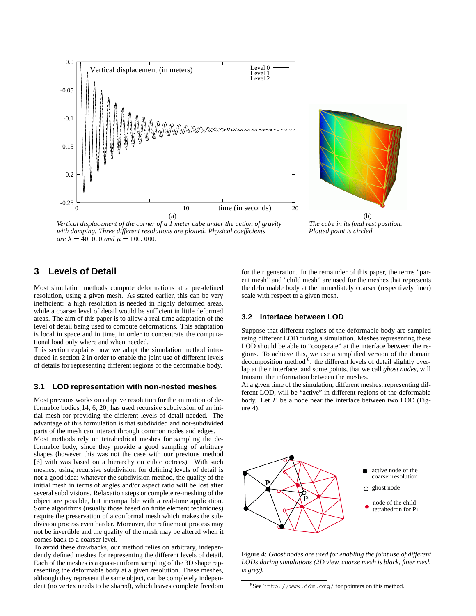



*Vertical displacement of the corner of a 1 meter cube under the action of gravity The cube in its final rest position.* with damping. Three different resolutions are plotted. Physical coefficients **Plotted point is circled.**  $are \lambda = 40,000$  *and*  $\mu = 100,000$ .

## **3 Levels of Detail**

Most simulation methods compute deformations at a pre-defined resolution, using a given mesh. As stated earlier, this can be very inefficient: a high resolution is needed in highly deformed areas, while a coarser level of detail would be sufficient in little deformed areas. The aim of this paper is to allow a real-time adaptation of the level of detail being used to compute deformations. This adaptation is local in space and in time, in order to concentrate the computational load only where and when needed.

This section explains how we adapt the simulation method introduced in section 2 in order to enable the joint use of different levels of details for representing different regions of the deformable body.

#### **3.1 LOD representation with non-nested meshes**

Most previous works on adaptive resolution for the animation of deformable bodies[14, 6, 20] has used recursive subdivision of an initial mesh for providing the different levels of detail needed. The advantage of this formulation is that subdivided and not-subdivided parts of the mesh can interact through common nodes and edges.

Most methods rely on tetrahedrical meshes for sampling the deformable body, since they provide a good sampling of arbitrary shapes (however this was not the case with our previous method [6] with was based on a hierarchy on cubic octrees). With such meshes, using recursive subdivision for defining levels of detail is not a good idea: whatever the subdivision method, the quality of the initial mesh in terms of angles and/or aspect ratio will be lost after several subdivisions. Relaxation steps or complete re-meshing of the object are possible, but incompatible with a real-time application. Some algorithms (usually those based on finite element techniques) require the preservation of a conformal mesh which makes the subdivision process even harder. Moreover, the refinement process may not be invertible and the quality of the mesh may be altered when it comes back to a coarser level.

To avoid these drawbacks, our method relies on arbitrary, independently defined meshes for representing the different levels of detail. Each of the meshes is a quasi-uniform sampling of the 3D shape representing the deformable body at a given resolution. These meshes, although they represent the same object, can be completely independent (no vertex needs to be shared), which leaves complete freedom for their generation. In the remainder of this paper, the terms "parent mesh" and "child mesh" are used for the meshes that represents the deformable body at the immediately coarser (respectively finer) scale with respect to a given mesh.

#### **3.2 Interface between LOD**

Suppose that different regions of the deformable body are sampled using different LOD during a simulation. Meshes representing these LOD should be able to "cooperate" at the interface between the regions. To achieve this, we use a simplified version of the domain decomposition method <sup>8</sup>: the different levels of detail slightly overlap at their interface, and some points, that we call *ghost nodes*, will transmit the information between the meshes.

At a given time of the simulation, different meshes, representing different LOD, will be "active" in different regions of the deformable body. Let  $P$  be a node near the interface between two LOD (Figure 4).



Figure 4: *Ghost nodes are used for enabling the joint use of different LODs during simulations (2D view, coarse mesh is black, finer mesh is grey).*

<sup>8</sup>See http://www.ddm.org/ for pointers on this method.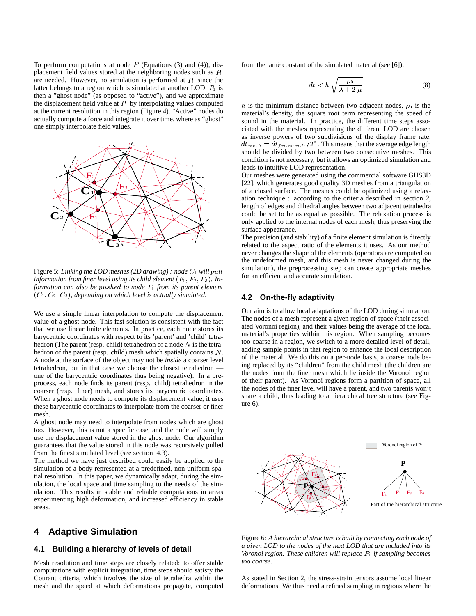To perform computations at node  $P$  (Equations (3) and (4)), displacement field values stored at the neighboring nodes such as  $P_1$ are needed. However, no simulation is performed at  $P_1$  since the latter belongs to a region which is simulated at another LOD.  $P_1$  is then a "ghost node" (as opposed to "active"), and we approximate the displacement field value at  $P_1$  by interpolating values computed at the current resolution in this region (Figure 4). "Active" nodes do actually compute a force and integrate it over time, where as "ghost" one simply interpolate field values.



Figure 5: *Linking the LOD meshes (2D drawing) : node*  $C_1$  *will pull information from finer level using its child element*  $(F_1, F_2, F_3)$ *. Information can also be pushed to node*  $F_1$  *from its parent element*  $(C_1, C_2, C_3)$ , depending on which level is actually simulated.

We use a simple linear interpolation to compute the displacement value of a ghost node. This fast solution is consistent with the fact that we use linear finite elements. In practice, each node stores its barycentric coordinates with respect to its 'parent' and 'child' tetrahedron (The parent (resp. child) tetrahedron of a node  $N$  is the tetrahedron of the parent (resp. child) mesh which spatially contains <sup>N</sup>. A node at the surface of the object may not be *inside* a coarser level tetrahedron, but in that case we choose the closest tetrahedron one of the barycentric coordinates thus being negative). In a preprocess, each node finds its parent (resp. child) tetrahedron in the coarser (resp. finer) mesh, and stores its barycentric coordinates. When a ghost node needs to compute its displacement value, it uses these barycentric coordinates to interpolate from the coarser or finer mesh.

A ghost node may need to interpolate from nodes which are ghost too. However, this is not a specific case, and the node will simply use the displacement value stored in the ghost node. Our algorithm guarantees that the value stored in this node was recursively pulled from the finest simulated level (see section 4.3).

The method we have just described could easily be applied to the simulation of a body represented at a predefined, non-uniform spatial resolution. In this paper, we dynamically adapt, during the simulation, the local space and time sampling to the needs of the simulation. This results in stable and reliable computations in areas experimenting high deformation, and increased efficiency in stable areas.

## **4 Adaptive Simulation**

#### **4.1 Building a hierarchy of levels of detail**

Mesh resolution and time steps are closely related: to offer stable computations with explicit integration, time steps should satisfy the Courant criteria, which involves the size of tetrahedra within the mesh and the speed at which deformations propagate, computed from the lamé constant of the simulated material (see [6]):

$$
dt < h \sqrt{\frac{\rho_0}{\lambda + 2\,\mu}}\tag{8}
$$

h is the minimum distance between two adjacent nodes,  $\rho_0$  is the material's density, the square root term representing the speed of sound in the material. In practice, the different time steps associated with the meshes representing the different LOD are chosen as inverse powers of two subdivisions of the display frame rate:  $dt_{mesh}=dt_{framerate}/2^n$  . This means that the average edge length should be divided by two between two consecutive meshes. This condition is not necessary, but it allows an optimized simulation and leads to intuitive LOD representation.

Our meshes were generated using the commercial software GHS3D [22], which generates good quality 3D meshes from a triangulation of a closed surface. The meshes could be optimized using a relaxation technique : according to the criteria described in section 2, length of edges and dihedral angles between two adjacent tetrahedra could be set to be as equal as possible. The relaxation process is only applied to the internal nodes of each mesh, thus preserving the surface appearance.

The precision (and stability) of a finite element simulation is directly related to the aspect ratio of the elements it uses. As our method never changes the shape of the elements (operators are computed on the undeformed mesh, and this mesh is never changed during the simulation), the preprocessing step can create appropriate meshes for an efficient and accurate simulation.

#### **4.2 On-the-fly adaptivity**

Our aim is to allow local adaptations of the LOD during simulation. The nodes of a mesh represent a given region of space (their associated Voronoi region), and their values being the average of the local material's properties within this region. When sampling becomes too coarse in a region, we switch to a more detailed level of detail, adding sample points in that region to enhance the local description of the material. We do this on a per-node basis, a coarse node being replaced by its "children" from the child mesh (the children are the nodes from the finer mesh which lie inside the Voronoi region of their parent). As Voronoi regions form a partition of space, all the nodes of the finer level will have a parent, and two parents won't share a child, thus leading to a hierarchical tree structure (see Figure 6).



Figure 6: *A hierarchical structure is built by connecting each node of a given LOD to the nodes of the next LOD that are included into its Voronoi region. These children will replace*  $P_1$  *if sampling becomes too coarse.*

As stated in Section 2, the stress-strain tensors assume local linear deformations. We thus need a refined sampling in regions where the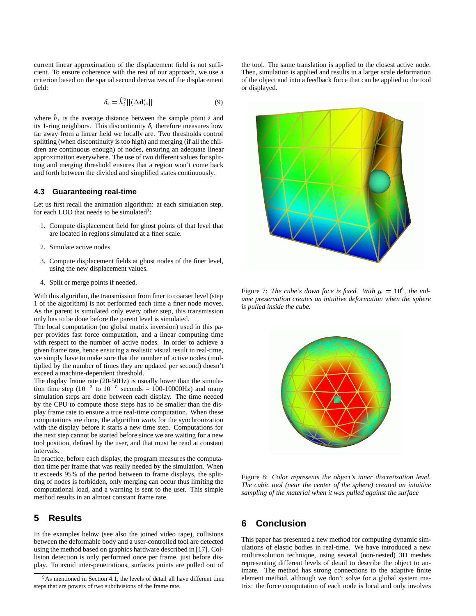current linear approximation of the displacement field is not sufficient. To ensure coherence with the rest of our approach, we use a criterion based on the spatial second derivatives of the displacement field:

$$
\delta_i = \hat{h}_i^2 ||(\Delta \mathbf{d})_i|| \tag{9}
$$

where  $h_i$  is the average distance between the sample point i and its 1-ring neighbors. This discontinuity  $\delta_i$  therefore measures how far away from a linear field we locally are. Two thresholds control splitting (when discontinuity is too high) and merging (if all the children are continuous enough) of nodes, ensuring an adequate linear approximation everywhere. The use of two different values for splitting and merging threshold ensures that a region won't come back and forth between the divided and simplified states continuously.

#### **4.3 Guaranteeing real-time**

Let us first recall the animation algorithm: at each simulation step, for each LOD that needs to be simulated<sup>9</sup>:

- 1. Compute displacement field for ghost points of that level that are located in regions simulated at a finer scale.
- 2. Simulate active nodes
- 3. Compute displacement fields at ghost nodes of the finer level, using the new displacement values.
- 4. Split or merge points if needed.

With this algorithm, the transmission from finer to coarser level (step 1 of the algorithm) is not performed each time a finer node moves. As the parent is simulated only every other step, this transmission only has to be done before the parent level is simulated.

The local computation (no global matrix inversion) used in this paper provides fast force computation, and a linear computing time with respect to the number of active nodes. In order to achieve a given frame rate, hence ensuring a realistic visual result in real-time, we simply have to make sure that the number of active nodes (multiplied by the number of times they are updated per second) doesn't exceed a machine-dependent threshold.

The display frame rate (20-50Hz) is usually lower than the simulation time step  $(10^{-2}$  to  $10^{-5}$  seconds = 100-10000Hz) and many simulation steps are done between each display. The time needed by the CPU to compute those steps has to be smaller than the display frame rate to ensure a true real-time computation. When these computations are done, the algorithm *waits* for the synchronization with the display before it starts a new time step. Computations for the next step cannot be started before since we are waiting for a new tool position, defined by the user, and that must be read at constant intervals.

In practice, before each display, the program measures the computation time per frame that was really needed by the simulation. When it exceeds 95% of the period between to frame displays, the splitting of nodes is forbidden, only merging can occur thus limiting the computational load, and a warning is sent to the user. This simple method results in an almost constant frame rate.

## **5 Results**

In the examples below (see also the joined video tape), collisions between the deformable body and a user-controlled tool are detected using the method based on graphics hardware described in [17]. Collision detection is only performed once per frame, just before display. To avoid inter-penetrations, surfaces points are pulled out of the tool. The same translation is applied to the closest active node. Then, simulation is applied and results in a larger scale deformation of the object and into a feedback force that can be applied to the tool or displayed.



Figure 7: The cube's down face is fixed. With  $\mu = 10^6$ , the vol*ume preservation creates an intuitive deformation when the sphere is pulled inside the cube.*



Figure 8: *Color represents the object's inner discretization level. The cubic tool (near the center of the sphere) created an intuitive sampling of the material when it was pulled against the surface*

## **6 Conclusion**

This paper has presented a new method for computing dynamic simulations of elastic bodies in real-time. We have introduced a new multiresolution technique, using several (non-nested) 3D meshes representing different levels of detail to describe the object to animate. The method has strong connections to the adaptive finite element method, although we don't solve for a global system matrix: the force computation of each node is local and only involves

 $9As$  mentioned in Section 4.1, the levels of detail all have different time steps that are powers of two subdivisions of the frame rate.